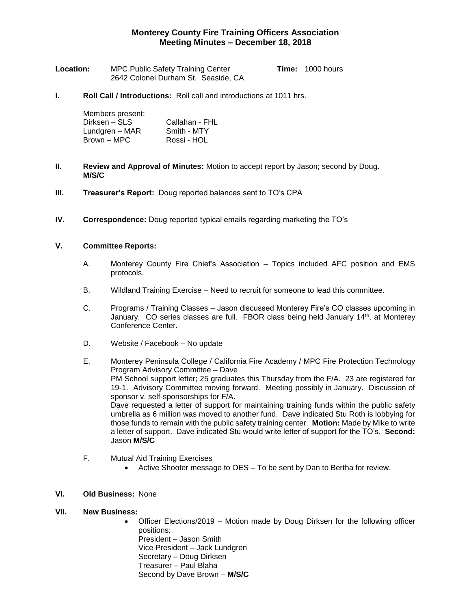# **Monterey County Fire Training Officers Association Meeting Minutes – December 18, 2018**

| Location: | <b>MPC Public Safety Training Center</b> | <b>Time: 1000 hours</b> |
|-----------|------------------------------------------|-------------------------|
|           | 2642 Colonel Durham St. Seaside, CA      |                         |

**I. Roll Call / Introductions:** Roll call and introductions at 1011 hrs.

| Members present: |                |
|------------------|----------------|
| Dirksen – SLS    | Callahan - FHL |
| Lundgren – MAR   | Smith - MTY    |
| Brown – MPC      | Rossi - HOL    |

- **II. Review and Approval of Minutes:** Motion to accept report by Jason; second by Doug. **M/S/C**
- **III. Treasurer's Report:** Doug reported balances sent to TO's CPA
- **IV. Correspondence:** Doug reported typical emails regarding marketing the TO's

#### **V. Committee Reports:**

- A. Monterey County Fire Chief's Association Topics included AFC position and EMS protocols.
- B. Wildland Training Exercise Need to recruit for someone to lead this committee.
- C. Programs / Training Classes Jason discussed Monterey Fire's CO classes upcoming in January. CO series classes are full. FBOR class being held January 14<sup>th</sup>, at Monterey Conference Center.
- D. Website / Facebook No update
- E. Monterey Peninsula College / California Fire Academy / MPC Fire Protection Technology Program Advisory Committee – Dave PM School support letter; 25 graduates this Thursday from the F/A. 23 are registered for 19-1. Advisory Committee moving forward. Meeting possibly in January. Discussion of sponsor v. self-sponsorships for F/A. Dave requested a letter of support for maintaining training funds within the public safety umbrella as 6 million was moved to another fund. Dave indicated Stu Roth is lobbying for those funds to remain with the public safety training center. **Motion:** Made by Mike to write a letter of support. Dave indicated Stu would write letter of support for the TO's. **Second:**  Jason **M/S/C**
- F. Mutual Aid Training Exercises
	- Active Shooter message to OES To be sent by Dan to Bertha for review.

## **VI. Old Business:** None

### **VII. New Business:**

 Officer Elections/2019 – Motion made by Doug Dirksen for the following officer positions: President – Jason Smith

Vice President – Jack Lundgren Secretary – Doug Dirksen Treasurer – Paul Blaha Second by Dave Brown – **M/S/C**